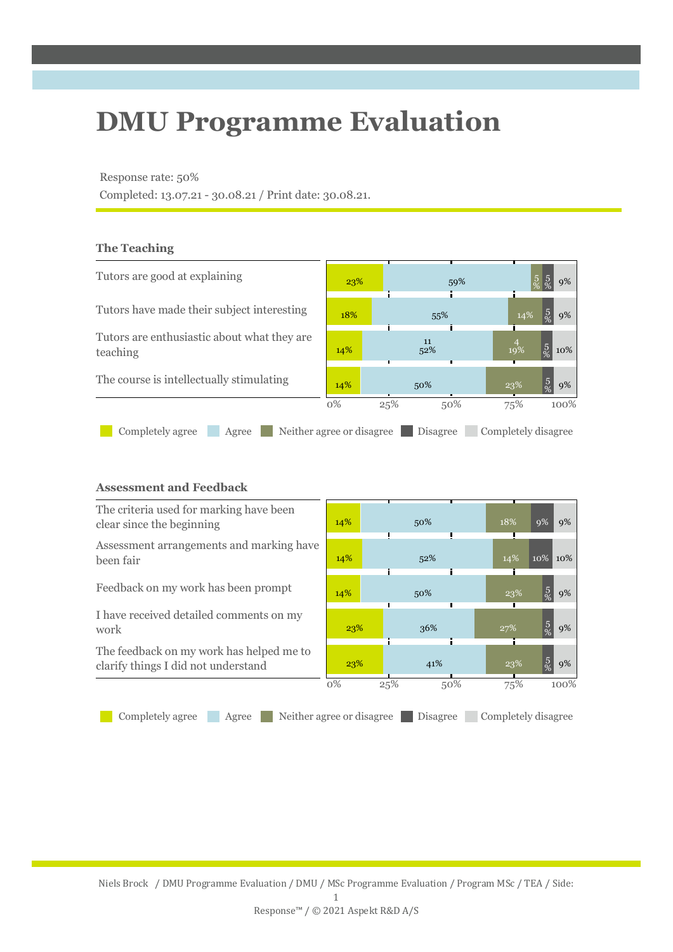# **DMU Programme Evaluation**

### Response rate: 50%

Completed: 13.07.21 - 30.08.21 / Print date: 30.08.21.

## **The Teaching**



## **Assessment and Feedback**

| The criteria used for marking have been<br>clear since the beginning            | 14%   | 50%                                   | 18%                 | 9%<br>9%             |
|---------------------------------------------------------------------------------|-------|---------------------------------------|---------------------|----------------------|
| Assessment arrangements and marking have<br>been fair                           | 14%   | 52%                                   | 14%                 | 10%<br>10%           |
| Feedback on my work has been prompt                                             | 14%   | 50%                                   | 23%                 | $\frac{5}{\%}$<br>9% |
| I have received detailed comments on my<br>work                                 | 23%   | 36%                                   | 27%                 | $\frac{5}{\%}$<br>9% |
| The feedback on my work has helped me to<br>clarify things I did not understand | 23%   | 41%                                   | 23%                 | $\frac{5}{\%}$<br>9% |
|                                                                                 | $0\%$ | 25%<br>50%                            | 75%                 | 100%                 |
| Completely agree<br>Agree                                                       |       | Neither agree or disagree<br>Disagree | Completely disagree |                      |

Niels Brock / DMU Programme Evaluation / DMU / MSc Programme Evaluation / Program MSc / TEA / Side: 1

Response™ / © 2021 Aspekt R&D A/S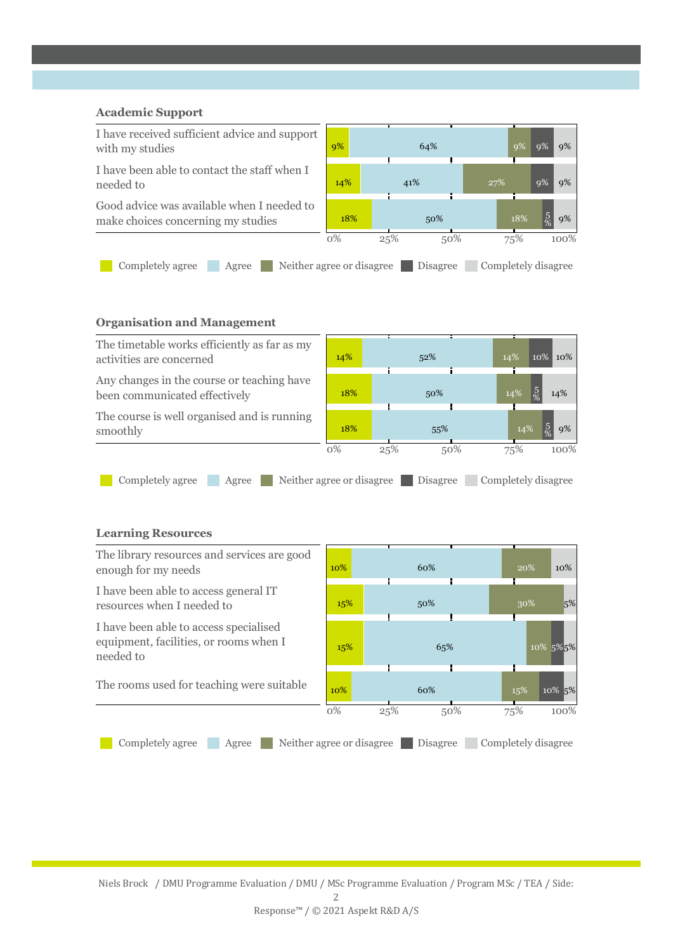# **Academic Support** I have received sufficient advice and support with my studies 9% 64% 9% 9% 9% I have been able to contact the staff when I needed to 14% 41% 27% 9% 9% Good advice was available when I needed to make choices concerning my studies 18% 18% 50% 50% 18% % 9% 0% 25% 50% 75% 100% Completely agree Agree Neither agree or disagree Disagree Completely disagree

## **Organisation and Management**



I have been able to access general IT resources when I needed to  $15\%$   $15\%$  50%  $5\%$  30%  $5\%$ 

I have been able to access specialised equipment, facilities, or rooms when I needed to

 $15\%$  65% 10% 5%5% The rooms used for teaching were suitable 10% 60% 15% 10% 5% 0% 25% 50% 75% 100% Completely agree Agree Neither agree or disagree Disagree Completely disagree

Niels Brock / DMU Programme Evaluation / DMU / MSc Programme Evaluation / Program MSc / TEA / Side: 2 Response™ / © 2021 Aspekt R&D A/S